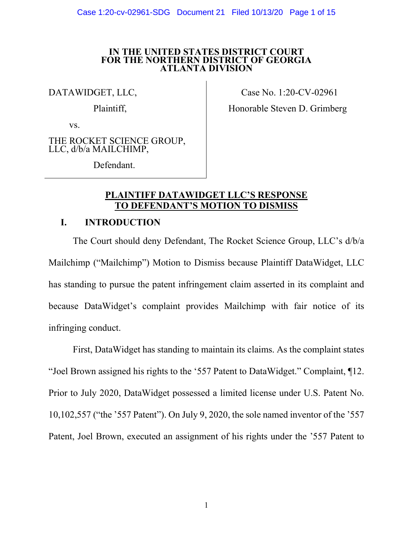Case 1:20-cv-02961-SDG Document 21 Filed 10/13/20 Page 1 of 15

#### **IN THE UNITED STATES DISTRICT COURT FOR THE NORTHERN DISTRICT OF GEORGIA ATLANTA DIVISION**

DATAWIDGET, LLC,

Plaintiff,

Case No. 1:20-CV-02961 Honorable Steven D. Grimberg

vs.

THE ROCKET SCIENCE GROUP, LLC, d/b/a MAILCHIMP,

Defendant.

# **PLAINTIFF DATAWIDGET LLC'S RESPONSE TO DEFENDANT'S MOTION TO DISMISS**

# **I. INTRODUCTION**

The Court should deny Defendant, The Rocket Science Group, LLC's d/b/a Mailchimp ("Mailchimp") Motion to Dismiss because Plaintiff DataWidget, LLC has standing to pursue the patent infringement claim asserted in its complaint and because DataWidget's complaint provides Mailchimp with fair notice of its infringing conduct.

First, DataWidget has standing to maintain its claims. As the complaint states "Joel Brown assigned his rights to the '557 Patent to DataWidget." Complaint, ¶12. Prior to July 2020, DataWidget possessed a limited license under U.S. Patent No. 10,102,557 ("the '557 Patent"). On July 9, 2020, the sole named inventor of the '557 Patent, Joel Brown, executed an assignment of his rights under the '557 Patent to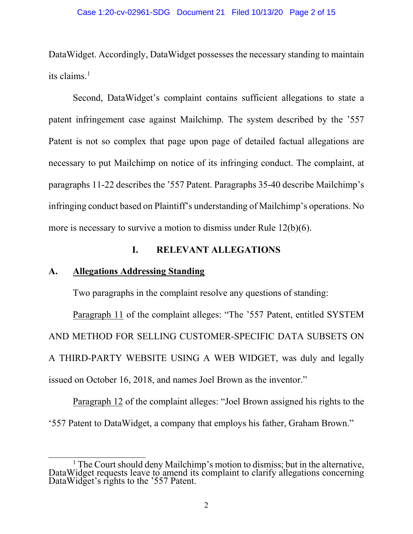DataWidget. Accordingly, DataWidget possesses the necessary standing to maintain its claims. $<sup>1</sup>$  $<sup>1</sup>$  $<sup>1</sup>$ </sup>

Second, DataWidget's complaint contains sufficient allegations to state a patent infringement case against Mailchimp. The system described by the '557 Patent is not so complex that page upon page of detailed factual allegations are necessary to put Mailchimp on notice of its infringing conduct. The complaint, at paragraphs 11-22 describes the '557 Patent. Paragraphs 35-40 describe Mailchimp's infringing conduct based on Plaintiff's understanding of Mailchimp's operations. No more is necessary to survive a motion to dismiss under Rule 12(b)(6).

# **I. RELEVANT ALLEGATIONS**

# **A. Allegations Addressing Standing**

Two paragraphs in the complaint resolve any questions of standing:

Paragraph 11 of the complaint alleges: "The '557 Patent, entitled SYSTEM AND METHOD FOR SELLING CUSTOMER-SPECIFIC DATA SUBSETS ON A THIRD-PARTY WEBSITE USING A WEB WIDGET, was duly and legally issued on October 16, 2018, and names Joel Brown as the inventor."

Paragraph 12 of the complaint alleges: "Joel Brown assigned his rights to the '557 Patent to DataWidget, a company that employs his father, Graham Brown."

<span id="page-1-0"></span><sup>&</sup>lt;sup>1</sup> The Court should deny Mailchimp's motion to dismiss; but in the alternative, DataWidget requests leave to amend its complaint to clarify allegations concerning DataWidget's rights to the '557 Patent.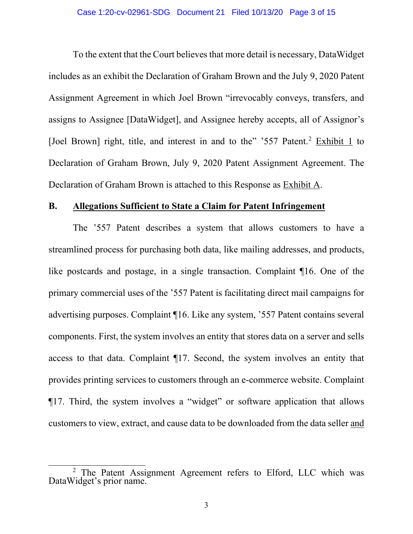To the extent that the Court believes that more detail is necessary, DataWidget includes as an exhibit the Declaration of Graham Brown and the July 9, 2020 Patent Assignment Agreement in which Joel Brown "irrevocably conveys, transfers, and assigns to Assignee [DataWidget], and Assignee hereby accepts, all of Assignor's [Joel Brown] right, title, and interest in and to the" '557 Patent.<sup>[2](#page-2-0)</sup> Exhibit 1 to Declaration of Graham Brown, July 9, 2020 Patent Assignment Agreement. The Declaration of Graham Brown is attached to this Response as Exhibit A.

## **B. Allegations Sufficient to State a Claim for Patent Infringement**

The '557 Patent describes a system that allows customers to have a streamlined process for purchasing both data, like mailing addresses, and products, like postcards and postage, in a single transaction. Complaint ¶16. One of the primary commercial uses of the '557 Patent is facilitating direct mail campaigns for advertising purposes. Complaint ¶16. Like any system, '557 Patent contains several components. First, the system involves an entity that stores data on a server and sells access to that data. Complaint ¶17. Second, the system involves an entity that provides printing services to customers through an e-commerce website. Complaint ¶17. Third, the system involves a "widget" or software application that allows customers to view, extract, and cause data to be downloaded from the data seller and

<span id="page-2-0"></span> $2 \text{ The Patent Assegment Agreement refers to Elford, LLC which was}$ DataWidget's prior name.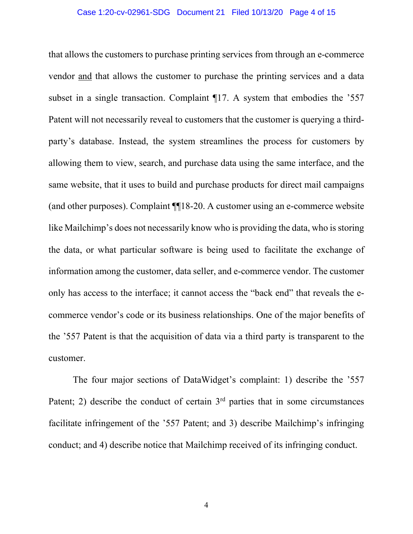#### Case 1:20-cv-02961-SDG Document 21 Filed 10/13/20 Page 4 of 15

that allows the customers to purchase printing services from through an e-commerce vendor and that allows the customer to purchase the printing services and a data subset in a single transaction. Complaint ¶17. A system that embodies the '557 Patent will not necessarily reveal to customers that the customer is querying a thirdparty's database. Instead, the system streamlines the process for customers by allowing them to view, search, and purchase data using the same interface, and the same website, that it uses to build and purchase products for direct mail campaigns (and other purposes). Complaint ¶¶18-20. A customer using an e-commerce website like Mailchimp's does not necessarily know who is providing the data, who is storing the data, or what particular software is being used to facilitate the exchange of information among the customer, data seller, and e-commerce vendor. The customer only has access to the interface; it cannot access the "back end" that reveals the ecommerce vendor's code or its business relationships. One of the major benefits of the '557 Patent is that the acquisition of data via a third party is transparent to the customer.

The four major sections of DataWidget's complaint: 1) describe the '557 Patent; 2) describe the conduct of certain  $3<sup>rd</sup>$  parties that in some circumstances facilitate infringement of the '557 Patent; and 3) describe Mailchimp's infringing conduct; and 4) describe notice that Mailchimp received of its infringing conduct.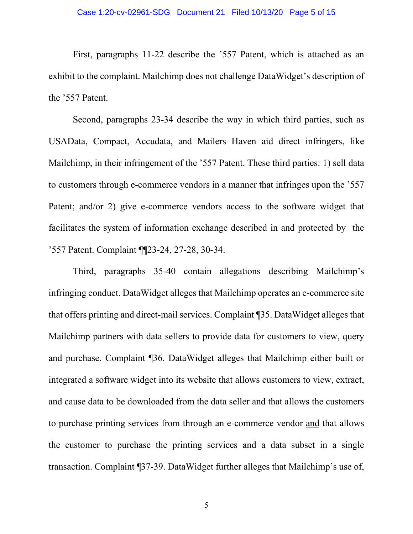First, paragraphs 11-22 describe the '557 Patent, which is attached as an exhibit to the complaint. Mailchimp does not challenge DataWidget's description of the '557 Patent.

Second, paragraphs 23-34 describe the way in which third parties, such as USAData, Compact, Accudata, and Mailers Haven aid direct infringers, like Mailchimp, in their infringement of the '557 Patent. These third parties: 1) sell data to customers through e-commerce vendors in a manner that infringes upon the '557 Patent; and/or 2) give e-commerce vendors access to the software widget that facilitates the system of information exchange described in and protected by the '557 Patent. Complaint ¶¶23-24, 27-28, 30-34.

Third, paragraphs 35-40 contain allegations describing Mailchimp's infringing conduct. DataWidget alleges that Mailchimp operates an e-commerce site that offers printing and direct-mail services. Complaint ¶35. DataWidget alleges that Mailchimp partners with data sellers to provide data for customers to view, query and purchase. Complaint ¶36. DataWidget alleges that Mailchimp either built or integrated a software widget into its website that allows customers to view, extract, and cause data to be downloaded from the data seller and that allows the customers to purchase printing services from through an e-commerce vendor and that allows the customer to purchase the printing services and a data subset in a single transaction. Complaint ¶37-39. DataWidget further alleges that Mailchimp's use of,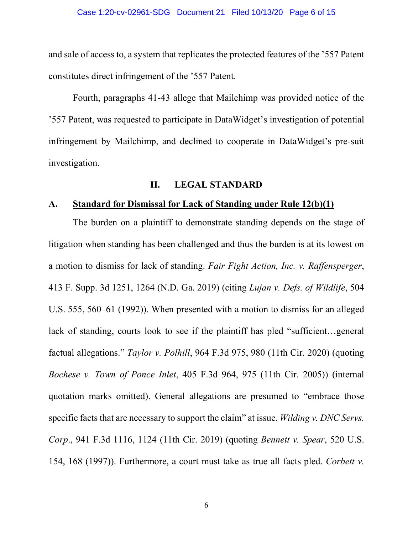and sale of access to, a system that replicates the protected features of the '557 Patent constitutes direct infringement of the '557 Patent.

Fourth, paragraphs 41-43 allege that Mailchimp was provided notice of the '557 Patent, was requested to participate in DataWidget's investigation of potential infringement by Mailchimp, and declined to cooperate in DataWidget's pre-suit investigation.

### **II. LEGAL STANDARD**

### **A. Standard for Dismissal for Lack of Standing under Rule 12(b)(1)**

The burden on a plaintiff to demonstrate standing depends on the stage of litigation when standing has been challenged and thus the burden is at its lowest on a motion to dismiss for lack of standing. *Fair Fight Action, Inc. v. Raffensperger*, 413 F. Supp. 3d 1251, 1264 (N.D. Ga. 2019) (citing *Lujan v. Defs. of Wildlife*, 504 U.S. 555, 560–61 (1992)). When presented with a motion to dismiss for an alleged lack of standing, courts look to see if the plaintiff has pled "sufficient…general factual allegations." *Taylor v. Polhill*, 964 F.3d 975, 980 (11th Cir. 2020) (quoting *Bochese v. Town of Ponce Inlet*, 405 F.3d 964, 975 (11th Cir. 2005)) (internal quotation marks omitted). General allegations are presumed to "embrace those specific facts that are necessary to support the claim" at issue. *Wilding v. DNC Servs. Corp*., 941 F.3d 1116, 1124 (11th Cir. 2019) (quoting *Bennett v. Spear*, 520 U.S. 154, 168 (1997)). Furthermore, a court must take as true all facts pled. *Corbett v.*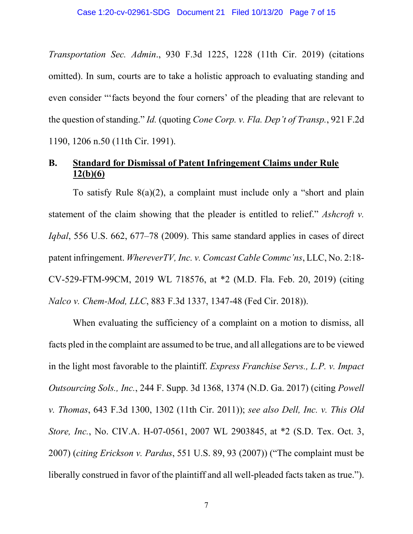*Transportation Sec. Admin*., 930 F.3d 1225, 1228 (11th Cir. 2019) (citations omitted). In sum, courts are to take a holistic approach to evaluating standing and even consider "'facts beyond the four corners' of the pleading that are relevant to the question of standing." *Id.* (quoting *Cone Corp. v. Fla. Dep't of Transp.*, 921 F.2d 1190, 1206 n.50 (11th Cir. 1991).

# **B. Standard for Dismissal of Patent Infringement Claims under Rule 12(b)(6)**

To satisfy Rule 8(a)(2), a complaint must include only a "short and plain statement of the claim showing that the pleader is entitled to relief." *Ashcroft v. Iqbal*, 556 U.S. 662, 677–78 (2009). This same standard applies in cases of direct patent infringement. *WhereverTV, Inc. v. Comcast Cable Commc'ns*, LLC, No. 2:18- CV-529-FTM-99CM, 2019 WL 718576, at \*2 (M.D. Fla. Feb. 20, 2019) (citing *Nalco v. Chem-Mod, LLC*, 883 F.3d 1337, 1347-48 (Fed Cir. 2018)).

When evaluating the sufficiency of a complaint on a motion to dismiss, all facts pled in the complaint are assumed to be true, and all allegations are to be viewed in the light most favorable to the plaintiff. *Express Franchise Servs., L.P. v. Impact Outsourcing Sols., Inc.*, 244 F. Supp. 3d 1368, 1374 (N.D. Ga. 2017) (citing *Powell v. Thomas*, 643 F.3d 1300, 1302 (11th Cir. 2011)); *see also Dell, Inc. v. This Old Store, Inc.*, No. CIV.A. H-07-0561, 2007 WL 2903845, at \*2 (S.D. Tex. Oct. 3, 2007) (*citing Erickson v. Pardus*, 551 U.S. 89, 93 (2007)) ("The complaint must be liberally construed in favor of the plaintiff and all well-pleaded facts taken as true.").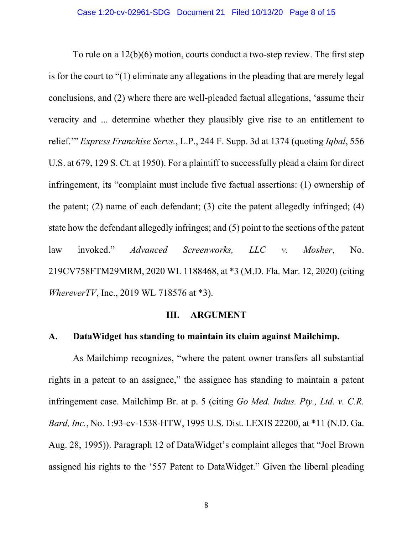To rule on a 12(b)(6) motion, courts conduct a two-step review. The first step is for the court to "(1) eliminate any allegations in the pleading that are merely legal conclusions, and (2) where there are well-pleaded factual allegations, 'assume their veracity and ... determine whether they plausibly give rise to an entitlement to relief.'" *Express Franchise Servs.*, L.P., 244 F. Supp. 3d at 1374 (quoting *Iqbal*, 556 U.S. at 679, 129 S. Ct. at 1950). For a plaintiff to successfully plead a claim for direct infringement, its "complaint must include five factual assertions: (1) ownership of the patent; (2) name of each defendant; (3) cite the patent allegedly infringed; (4) state how the defendant allegedly infringes; and (5) point to the sections of the patent law invoked." *Advanced Screenworks, LLC v. Mosher*, No. 219CV758FTM29MRM, 2020 WL 1188468, at \*3 (M.D. Fla. Mar. 12, 2020) (citing *WhereverTV*, Inc., 2019 WL 718576 at \*3).

## **III. ARGUMENT**

# **A. DataWidget has standing to maintain its claim against Mailchimp.**

As Mailchimp recognizes, "where the patent owner transfers all substantial rights in a patent to an assignee," the assignee has standing to maintain a patent infringement case. Mailchimp Br. at p. 5 (citing *Go Med. Indus. Pty., Ltd. v. C.R. Bard, Inc.*, No. 1:93-cv-1538-HTW, 1995 U.S. Dist. LEXIS 22200, at \*11 (N.D. Ga. Aug. 28, 1995)). Paragraph 12 of DataWidget's complaint alleges that "Joel Brown assigned his rights to the '557 Patent to DataWidget." Given the liberal pleading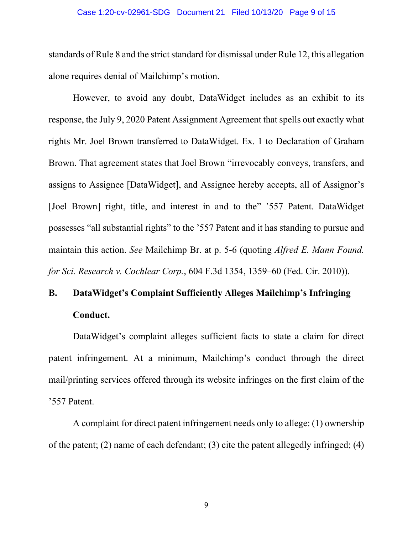#### Case 1:20-cv-02961-SDG Document 21 Filed 10/13/20 Page 9 of 15

standards of Rule 8 and the strict standard for dismissal under Rule 12, this allegation alone requires denial of Mailchimp's motion.

However, to avoid any doubt, DataWidget includes as an exhibit to its response, the July 9, 2020 Patent Assignment Agreement that spells out exactly what rights Mr. Joel Brown transferred to DataWidget. Ex. 1 to Declaration of Graham Brown. That agreement states that Joel Brown "irrevocably conveys, transfers, and assigns to Assignee [DataWidget], and Assignee hereby accepts, all of Assignor's [Joel Brown] right, title, and interest in and to the" '557 Patent. DataWidget possesses "all substantial rights" to the '557 Patent and it has standing to pursue and maintain this action. *See* Mailchimp Br. at p. 5-6 (quoting *Alfred E. Mann Found. for Sci. Research v. Cochlear Corp.*, 604 F.3d 1354, 1359–60 (Fed. Cir. 2010)).

# **B. DataWidget's Complaint Sufficiently Alleges Mailchimp's Infringing Conduct.**

DataWidget's complaint alleges sufficient facts to state a claim for direct patent infringement. At a minimum, Mailchimp's conduct through the direct mail/printing services offered through its website infringes on the first claim of the '557 Patent.

A complaint for direct patent infringement needs only to allege: (1) ownership of the patent; (2) name of each defendant; (3) cite the patent allegedly infringed; (4)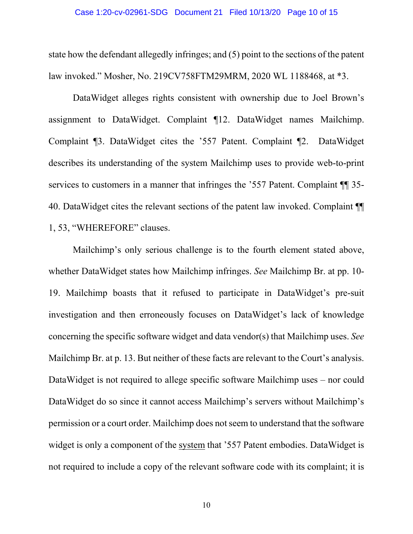#### Case 1:20-cv-02961-SDG Document 21 Filed 10/13/20 Page 10 of 15

state how the defendant allegedly infringes; and (5) point to the sections of the patent law invoked." Mosher, No. 219CV758FTM29MRM, 2020 WL 1188468, at \*3.

DataWidget alleges rights consistent with ownership due to Joel Brown's assignment to DataWidget. Complaint ¶12. DataWidget names Mailchimp. Complaint ¶3. DataWidget cites the '557 Patent. Complaint ¶2. DataWidget describes its understanding of the system Mailchimp uses to provide web-to-print services to customers in a manner that infringes the '557 Patent. Complaint  $\P$  35-40. DataWidget cites the relevant sections of the patent law invoked. Complaint ¶¶ 1, 53, "WHEREFORE" clauses.

Mailchimp's only serious challenge is to the fourth element stated above, whether DataWidget states how Mailchimp infringes. *See* Mailchimp Br. at pp. 10- 19. Mailchimp boasts that it refused to participate in DataWidget's pre-suit investigation and then erroneously focuses on DataWidget's lack of knowledge concerning the specific software widget and data vendor(s) that Mailchimp uses. *See*  Mailchimp Br. at p. 13. But neither of these facts are relevant to the Court's analysis. DataWidget is not required to allege specific software Mailchimp uses – nor could DataWidget do so since it cannot access Mailchimp's servers without Mailchimp's permission or a court order. Mailchimp does not seem to understand that the software widget is only a component of the system that '557 Patent embodies. DataWidget is not required to include a copy of the relevant software code with its complaint; it is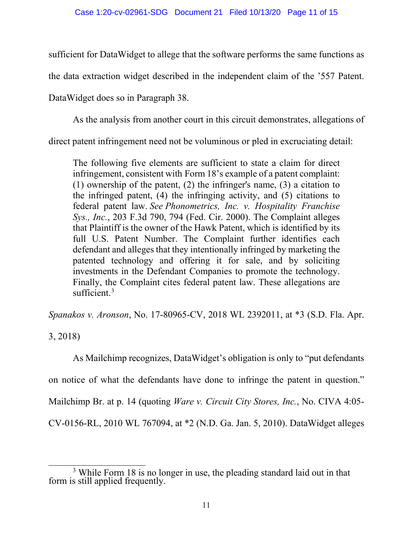sufficient for DataWidget to allege that the software performs the same functions as

the data extraction widget described in the independent claim of the '557 Patent.

DataWidget does so in Paragraph 38.

As the analysis from another court in this circuit demonstrates, allegations of

direct patent infringement need not be voluminous or pled in excruciating detail:

The following five elements are sufficient to state a claim for direct infringement, consistent with Form 18's example of a patent complaint: (1) ownership of the patent, (2) the infringer's name, (3) a citation to the infringed patent, (4) the infringing activity, and (5) citations to federal patent law. *See Phonometrics, Inc. v. Hospitality Franchise Sys., Inc.*, 203 F.3d 790, 794 (Fed. Cir. 2000). The Complaint alleges that Plaintiff is the owner of the Hawk Patent, which is identified by its full U.S. Patent Number. The Complaint further identifies each defendant and alleges that they intentionally infringed by marketing the patented technology and offering it for sale, and by soliciting investments in the Defendant Companies to promote the technology. Finally, the Complaint cites federal patent law. These allegations are sufficient.<sup>[3](#page-10-0)</sup>

*Spanakos v. Aronson*, No. 17-80965-CV, 2018 WL 2392011, at \*3 (S.D. Fla. Apr.

3, 2018)

As Mailchimp recognizes, DataWidget's obligation is only to "put defendants

on notice of what the defendants have done to infringe the patent in question."

Mailchimp Br. at p. 14 (quoting *Ware v. Circuit City Stores, Inc.*, No. CIVA 4:05-

CV-0156-RL, 2010 WL 767094, at \*2 (N.D. Ga. Jan. 5, 2010). DataWidget alleges

<span id="page-10-0"></span><sup>&</sup>lt;sup>3</sup> While Form 18 is no longer in use, the pleading standard laid out in that form is still applied frequently.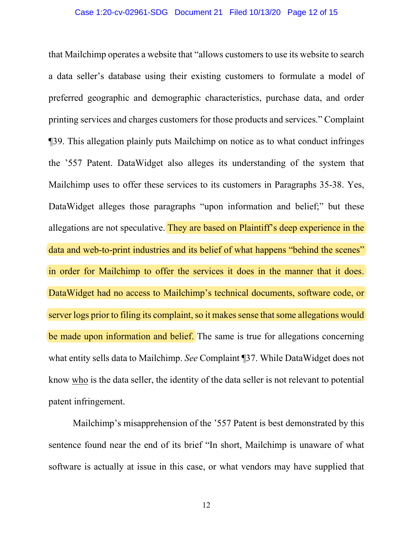that Mailchimp operates a website that "allows customers to use its website to search a data seller's database using their existing customers to formulate a model of preferred geographic and demographic characteristics, purchase data, and order printing services and charges customers for those products and services." Complaint ¶39. This allegation plainly puts Mailchimp on notice as to what conduct infringes the '557 Patent. DataWidget also alleges its understanding of the system that Mailchimp uses to offer these services to its customers in Paragraphs 35-38. Yes, DataWidget alleges those paragraphs "upon information and belief;" but these allegations are not speculative. They are based on Plaintiff's deep experience in the data and web-to-print industries and its belief of what happens "behind the scenes" in order for Mailchimp to offer the services it does in the manner that it does. DataWidget had no access to Mailchimp's technical documents, software code, or server logs prior to filing its complaint, so it makes sense that some allegations would be made upon information and belief. The same is true for allegations concerning what entity sells data to Mailchimp. *See* Complaint ¶37. While DataWidget does not know who is the data seller, the identity of the data seller is not relevant to potential patent infringement.

Mailchimp's misapprehension of the '557 Patent is best demonstrated by this sentence found near the end of its brief "In short, Mailchimp is unaware of what software is actually at issue in this case, or what vendors may have supplied that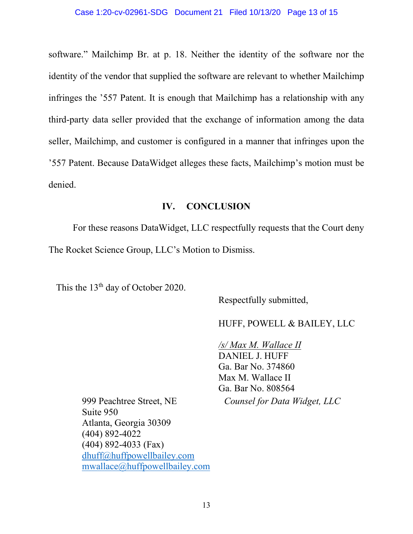software." Mailchimp Br. at p. 18. Neither the identity of the software nor the identity of the vendor that supplied the software are relevant to whether Mailchimp infringes the '557 Patent. It is enough that Mailchimp has a relationship with any third-party data seller provided that the exchange of information among the data seller, Mailchimp, and customer is configured in a manner that infringes upon the '557 Patent. Because DataWidget alleges these facts, Mailchimp's motion must be denied.

## **IV. CONCLUSION**

For these reasons DataWidget, LLC respectfully requests that the Court deny The Rocket Science Group, LLC's Motion to Dismiss.

This the 13<sup>th</sup> day of October 2020.

Respectfully submitted,

# HUFF, POWELL & BAILEY, LLC

*/s/ Max M. Wallace II*

DANIEL J. HUFF Ga. Bar No. 374860 Max M. Wallace II Ga. Bar No. 808564 *Counsel for Data Widget, LLC* 

999 Peachtree Street, NE Suite 950 Atlanta, Georgia 30309 (404) 892-4022 (404) 892-4033 (Fax) [dhuff@huffpowellbailey.com](mailto:dhuff@huffpowellbailey.com) mwallace@huffpowellbailey.com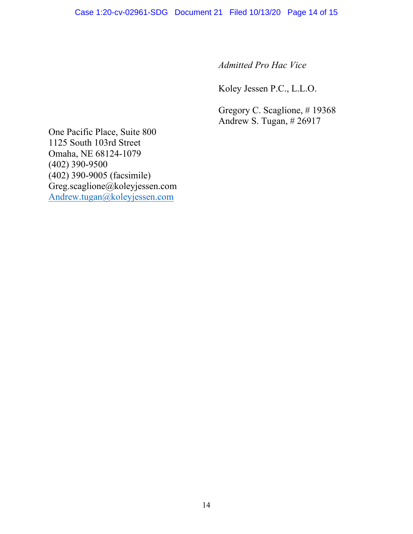*Admitted Pro Hac Vice* 

Koley Jessen P.C., L.L.O.

Gregory C. Scaglione, # 19368 Andrew S. Tugan, # 26917

One Pacific Place, Suite 800 1125 South 103rd Street Omaha, NE 68124-1079 (402) 390-9500 (402) 390-9005 (facsimile) Greg.scaglione@koleyjessen.com [Andrew.tugan@koleyjessen.com](mailto:Andrew.tugan@koleyjessen.com)